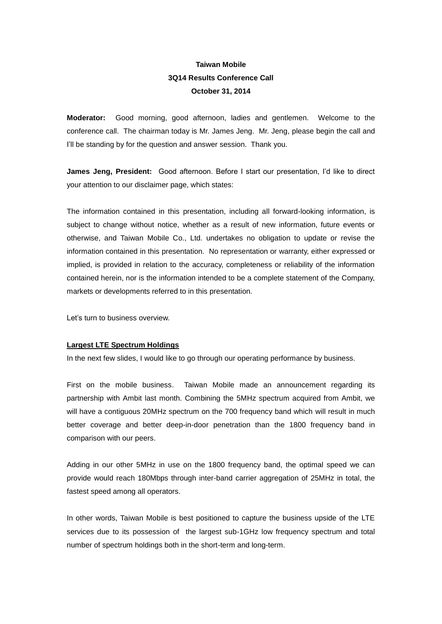# **Taiwan Mobile 3Q14 Results Conference Call October 31, 2014**

**Moderator:** Good morning, good afternoon, ladies and gentlemen. Welcome to the conference call. The chairman today is Mr. James Jeng. Mr. Jeng, please begin the call and I'll be standing by for the question and answer session. Thank you.

**James Jeng, President:** Good afternoon. Before I start our presentation, I'd like to direct your attention to our disclaimer page, which states:

The information contained in this presentation, including all forward-looking information, is subject to change without notice, whether as a result of new information, future events or otherwise, and Taiwan Mobile Co., Ltd. undertakes no obligation to update or revise the information contained in this presentation. No representation or warranty, either expressed or implied, is provided in relation to the accuracy, completeness or reliability of the information contained herein, nor is the information intended to be a complete statement of the Company, markets or developments referred to in this presentation.

Let's turn to business overview.

#### **Largest LTE Spectrum Holdings**

In the next few slides, I would like to go through our operating performance by business.

First on the mobile business. Taiwan Mobile made an announcement regarding its partnership with Ambit last month. Combining the 5MHz spectrum acquired from Ambit, we will have a contiguous 20MHz spectrum on the 700 frequency band which will result in much better coverage and better deep-in-door penetration than the 1800 frequency band in comparison with our peers.

Adding in our other 5MHz in use on the 1800 frequency band, the optimal speed we can provide would reach 180Mbps through inter-band carrier aggregation of 25MHz in total, the fastest speed among all operators.

In other words, Taiwan Mobile is best positioned to capture the business upside of the LTE services due to its possession of the largest sub-1GHz low frequency spectrum and total number of spectrum holdings both in the short-term and long-term.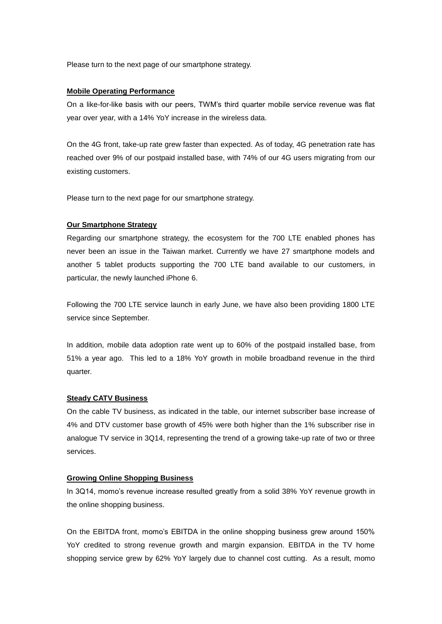Please turn to the next page of our smartphone strategy.

### **Mobile Operating Performance**

On a like-for-like basis with our peers, TWM's third quarter mobile service revenue was flat year over year, with a 14% YoY increase in the wireless data.

On the 4G front, take-up rate grew faster than expected. As of today, 4G penetration rate has reached over 9% of our postpaid installed base, with 74% of our 4G users migrating from our existing customers.

Please turn to the next page for our smartphone strategy.

## **Our Smartphone Strategy**

Regarding our smartphone strategy, the ecosystem for the 700 LTE enabled phones has never been an issue in the Taiwan market. Currently we have 27 smartphone models and another 5 tablet products supporting the 700 LTE band available to our customers, in particular, the newly launched iPhone 6.

Following the 700 LTE service launch in early June, we have also been providing 1800 LTE service since September.

In addition, mobile data adoption rate went up to 60% of the postpaid installed base, from 51% a year ago. This led to a 18% YoY growth in mobile broadband revenue in the third quarter.

## **Steady CATV Business**

On the cable TV business, as indicated in the table, our internet subscriber base increase of 4% and DTV customer base growth of 45% were both higher than the 1% subscriber rise in analogue TV service in 3Q14, representing the trend of a growing take-up rate of two or three services.

## **Growing Online Shopping Business**

In 3Q14, momo's revenue increase resulted greatly from a solid 38% YoY revenue growth in the online shopping business.

On the EBITDA front, momo's EBITDA in the online shopping business grew around 150% YoY credited to strong revenue growth and margin expansion. EBITDA in the TV home shopping service grew by 62% YoY largely due to channel cost cutting. As a result, momo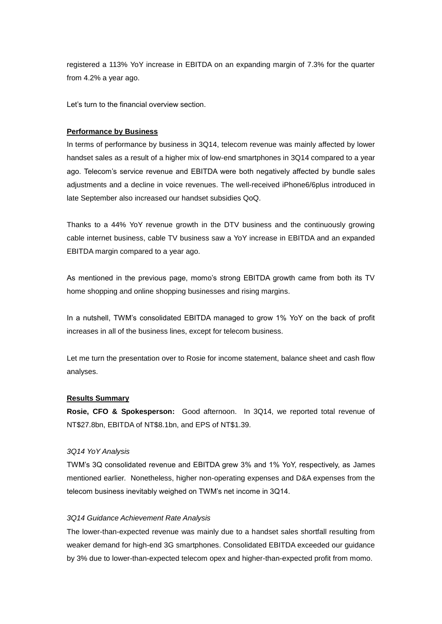registered a 113% YoY increase in EBITDA on an expanding margin of 7.3% for the quarter from 4.2% a year ago.

Let's turn to the financial overview section.

#### **Performance by Business**

In terms of performance by business in 3Q14, telecom revenue was mainly affected by lower handset sales as a result of a higher mix of low-end smartphones in 3Q14 compared to a year ago. Telecom's service revenue and EBITDA were both negatively affected by bundle sales adjustments and a decline in voice revenues. The well-received iPhone6/6plus introduced in late September also increased our handset subsidies QoQ.

Thanks to a 44% YoY revenue growth in the DTV business and the continuously growing cable internet business, cable TV business saw a YoY increase in EBITDA and an expanded EBITDA margin compared to a year ago.

As mentioned in the previous page, momo's strong EBITDA growth came from both its TV home shopping and online shopping businesses and rising margins.

In a nutshell, TWM's consolidated EBITDA managed to grow 1% YoY on the back of profit increases in all of the business lines, except for telecom business.

Let me turn the presentation over to Rosie for income statement, balance sheet and cash flow analyses.

#### **Results Summary**

**Rosie, CFO & Spokesperson:** Good afternoon. In 3Q14, we reported total revenue of NT\$27.8bn, EBITDA of NT\$8.1bn, and EPS of NT\$1.39.

## *3Q14 YoY Analysis*

TWM's 3Q consolidated revenue and EBITDA grew 3% and 1% YoY, respectively, as James mentioned earlier. Nonetheless, higher non-operating expenses and D&A expenses from the telecom business inevitably weighed on TWM's net income in 3Q14.

#### *3Q14 Guidance Achievement Rate Analysis*

The lower-than-expected revenue was mainly due to a handset sales shortfall resulting from weaker demand for high-end 3G smartphones. Consolidated EBITDA exceeded our guidance by 3% due to lower-than-expected telecom opex and higher-than-expected profit from momo.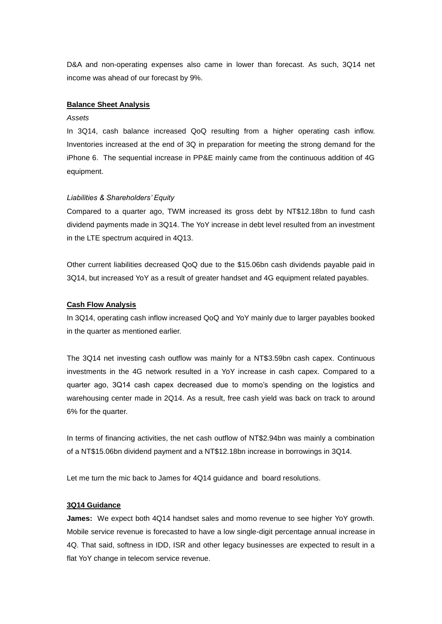D&A and non-operating expenses also came in lower than forecast. As such, 3Q14 net income was ahead of our forecast by 9%.

## **Balance Sheet Analysis**

#### *Assets*

In 3Q14, cash balance increased QoQ resulting from a higher operating cash inflow. Inventories increased at the end of 3Q in preparation for meeting the strong demand for the iPhone 6. The sequential increase in PP&E mainly came from the continuous addition of 4G equipment.

#### *Liabilities & Shareholders' Equity*

Compared to a quarter ago, TWM increased its gross debt by NT\$12.18bn to fund cash dividend payments made in 3Q14. The YoY increase in debt level resulted from an investment in the LTE spectrum acquired in 4Q13.

Other current liabilities decreased QoQ due to the \$15.06bn cash dividends payable paid in 3Q14, but increased YoY as a result of greater handset and 4G equipment related payables.

#### **Cash Flow Analysis**

In 3Q14, operating cash inflow increased QoQ and YoY mainly due to larger payables booked in the quarter as mentioned earlier.

The 3Q14 net investing cash outflow was mainly for a NT\$3.59bn cash capex. Continuous investments in the 4G network resulted in a YoY increase in cash capex. Compared to a quarter ago, 3Q14 cash capex decreased due to momo's spending on the logistics and warehousing center made in 2Q14. As a result, free cash yield was back on track to around 6% for the quarter.

In terms of financing activities, the net cash outflow of NT\$2.94bn was mainly a combination of a NT\$15.06bn dividend payment and a NT\$12.18bn increase in borrowings in 3Q14.

Let me turn the mic back to James for 4Q14 guidance and board resolutions.

#### **3Q14 Guidance**

**James:** We expect both 4Q14 handset sales and momo revenue to see higher YoY growth. Mobile service revenue is forecasted to have a low single-digit percentage annual increase in 4Q. That said, softness in IDD, ISR and other legacy businesses are expected to result in a flat YoY change in telecom service revenue.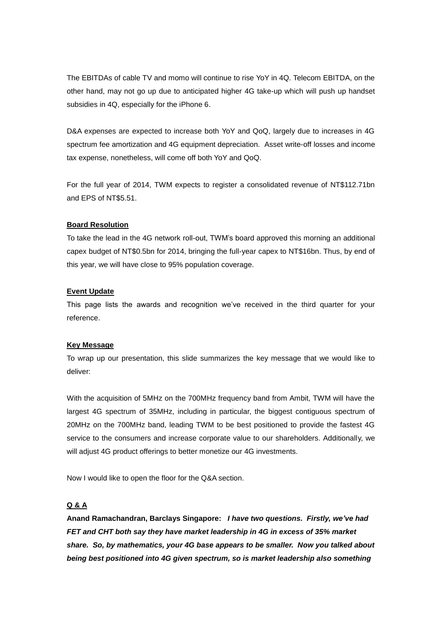The EBITDAs of cable TV and momo will continue to rise YoY in 4Q. Telecom EBITDA, on the other hand, may not go up due to anticipated higher 4G take-up which will push up handset subsidies in 4Q, especially for the iPhone 6.

D&A expenses are expected to increase both YoY and QoQ, largely due to increases in 4G spectrum fee amortization and 4G equipment depreciation. Asset write-off losses and income tax expense, nonetheless, will come off both YoY and QoQ.

For the full year of 2014, TWM expects to register a consolidated revenue of NT\$112.71bn and EPS of NT\$5.51.

## **Board Resolution**

To take the lead in the 4G network roll-out, TWM's board approved this morning an additional capex budget of NT\$0.5bn for 2014, bringing the full-year capex to NT\$16bn. Thus, by end of this year, we will have close to 95% population coverage.

## **Event Update**

This page lists the awards and recognition we've received in the third quarter for your reference.

#### **Key Message**

To wrap up our presentation, this slide summarizes the key message that we would like to deliver:

With the acquisition of 5MHz on the 700MHz frequency band from Ambit, TWM will have the largest 4G spectrum of 35MHz, including in particular, the biggest contiguous spectrum of 20MHz on the 700MHz band, leading TWM to be best positioned to provide the fastest 4G service to the consumers and increase corporate value to our shareholders. Additionally, we will adjust 4G product offerings to better monetize our 4G investments.

Now I would like to open the floor for the Q&A section.

## **Q & A**

**Anand Ramachandran, Barclays Singapore:** *I have two questions. Firstly, we've had FET and CHT both say they have market leadership in 4G in excess of 35% market share. So, by mathematics, your 4G base appears to be smaller. Now you talked about being best positioned into 4G given spectrum, so is market leadership also something*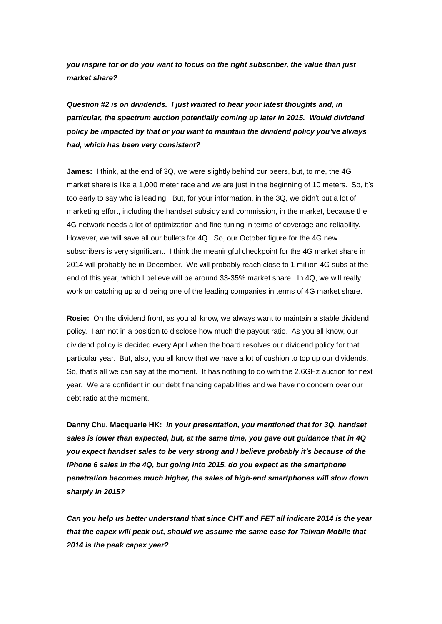*you inspire for or do you want to focus on the right subscriber, the value than just market share?*

*Question #2 is on dividends. I just wanted to hear your latest thoughts and, in particular, the spectrum auction potentially coming up later in 2015. Would dividend policy be impacted by that or you want to maintain the dividend policy you've always had, which has been very consistent?*

**James:** I think, at the end of 3Q, we were slightly behind our peers, but, to me, the 4G market share is like a 1,000 meter race and we are just in the beginning of 10 meters. So, it's too early to say who is leading. But, for your information, in the 3Q, we didn't put a lot of marketing effort, including the handset subsidy and commission, in the market, because the 4G network needs a lot of optimization and fine-tuning in terms of coverage and reliability. However, we will save all our bullets for 4Q. So, our October figure for the 4G new subscribers is very significant. I think the meaningful checkpoint for the 4G market share in 2014 will probably be in December. We will probably reach close to 1 million 4G subs at the end of this year, which I believe will be around 33-35% market share. In 4Q, we will really work on catching up and being one of the leading companies in terms of 4G market share.

**Rosie:** On the dividend front, as you all know, we always want to maintain a stable dividend policy. I am not in a position to disclose how much the payout ratio. As you all know, our dividend policy is decided every April when the board resolves our dividend policy for that particular year. But, also, you all know that we have a lot of cushion to top up our dividends. So, that's all we can say at the moment. It has nothing to do with the 2.6GHz auction for next year. We are confident in our debt financing capabilities and we have no concern over our debt ratio at the moment.

**Danny Chu, Macquarie HK:** *In your presentation, you mentioned that for 3Q, handset sales is lower than expected, but, at the same time, you gave out guidance that in 4Q you expect handset sales to be very strong and I believe probably it's because of the iPhone 6 sales in the 4Q, but going into 2015, do you expect as the smartphone penetration becomes much higher, the sales of high-end smartphones will slow down sharply in 2015?*

*Can you help us better understand that since CHT and FET all indicate 2014 is the year that the capex will peak out, should we assume the same case for Taiwan Mobile that 2014 is the peak capex year?*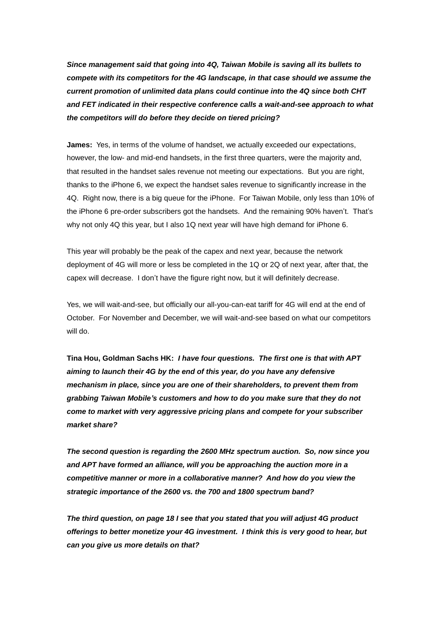*Since management said that going into 4Q, Taiwan Mobile is saving all its bullets to compete with its competitors for the 4G landscape, in that case should we assume the current promotion of unlimited data plans could continue into the 4Q since both CHT and FET indicated in their respective conference calls a wait-and-see approach to what the competitors will do before they decide on tiered pricing?*

**James:** Yes, in terms of the volume of handset, we actually exceeded our expectations, however, the low- and mid-end handsets, in the first three quarters, were the majority and, that resulted in the handset sales revenue not meeting our expectations. But you are right, thanks to the iPhone 6, we expect the handset sales revenue to significantly increase in the 4Q. Right now, there is a big queue for the iPhone. For Taiwan Mobile, only less than 10% of the iPhone 6 pre-order subscribers got the handsets. And the remaining 90% haven't. That's why not only 4Q this year, but I also 1Q next year will have high demand for iPhone 6.

This year will probably be the peak of the capex and next year, because the network deployment of 4G will more or less be completed in the 1Q or 2Q of next year, after that, the capex will decrease. I don't have the figure right now, but it will definitely decrease.

Yes, we will wait-and-see, but officially our all-you-can-eat tariff for 4G will end at the end of October. For November and December, we will wait-and-see based on what our competitors will do.

**Tina Hou, Goldman Sachs HK:** *I have four questions. The first one is that with APT aiming to launch their 4G by the end of this year, do you have any defensive mechanism in place, since you are one of their shareholders, to prevent them from grabbing Taiwan Mobile's customers and how to do you make sure that they do not come to market with very aggressive pricing plans and compete for your subscriber market share?*

*The second question is regarding the 2600 MHz spectrum auction. So, now since you and APT have formed an alliance, will you be approaching the auction more in a competitive manner or more in a collaborative manner? And how do you view the strategic importance of the 2600 vs. the 700 and 1800 spectrum band?*

*The third question, on page 18 I see that you stated that you will adjust 4G product offerings to better monetize your 4G investment. I think this is very good to hear, but can you give us more details on that?*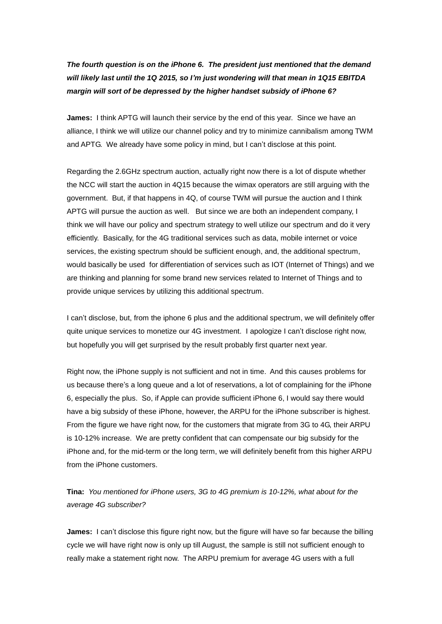# *The fourth question is on the iPhone 6. The president just mentioned that the demand will likely last until the 1Q 2015, so I'm just wondering will that mean in 1Q15 EBITDA margin will sort of be depressed by the higher handset subsidy of iPhone 6?*

**James:** I think APTG will launch their service by the end of this year. Since we have an alliance, I think we will utilize our channel policy and try to minimize cannibalism among TWM and APTG. We already have some policy in mind, but I can't disclose at this point.

Regarding the 2.6GHz spectrum auction, actually right now there is a lot of dispute whether the NCC will start the auction in 4Q15 because the wimax operators are still arguing with the government. But, if that happens in 4Q, of course TWM will pursue the auction and I think APTG will pursue the auction as well. But since we are both an independent company, I think we will have our policy and spectrum strategy to well utilize our spectrum and do it very efficiently. Basically, for the 4G traditional services such as data, mobile internet or voice services, the existing spectrum should be sufficient enough, and, the additional spectrum, would basically be used for differentiation of services such as IOT (Internet of Things) and we are thinking and planning for some brand new services related to Internet of Things and to provide unique services by utilizing this additional spectrum.

I can't disclose, but, from the iphone 6 plus and the additional spectrum, we will definitely offer quite unique services to monetize our 4G investment. I apologize I can't disclose right now, but hopefully you will get surprised by the result probably first quarter next year.

Right now, the iPhone supply is not sufficient and not in time. And this causes problems for us because there's a long queue and a lot of reservations, a lot of complaining for the iPhone 6, especially the plus. So, if Apple can provide sufficient iPhone 6, I would say there would have a big subsidy of these iPhone, however, the ARPU for the iPhone subscriber is highest. From the figure we have right now, for the customers that migrate from 3G to 4G, their ARPU is 10-12% increase. We are pretty confident that can compensate our big subsidy for the iPhone and, for the mid-term or the long term, we will definitely benefit from this higher ARPU from the iPhone customers.

**Tina:** *You mentioned for iPhone users, 3G to 4G premium is 10-12%, what about for the average 4G subscriber?* 

**James:** I can't disclose this figure right now, but the figure will have so far because the billing cycle we will have right now is only up till August, the sample is still not sufficient enough to really make a statement right now. The ARPU premium for average 4G users with a full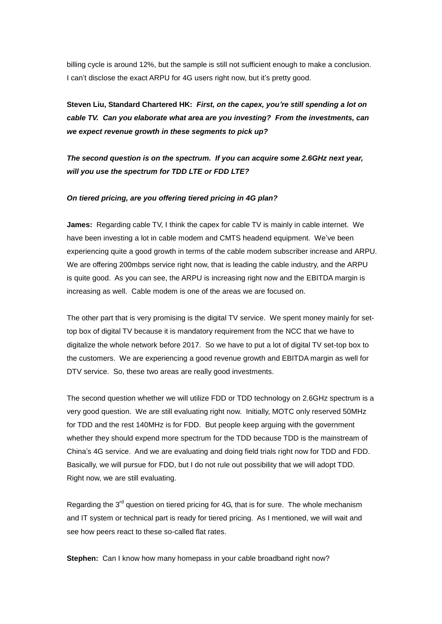billing cycle is around 12%, but the sample is still not sufficient enough to make a conclusion. I can't disclose the exact ARPU for 4G users right now, but it's pretty good.

**Steven Liu, Standard Chartered HK:** *First, on the capex, you're still spending a lot on cable TV. Can you elaborate what area are you investing? From the investments, can we expect revenue growth in these segments to pick up?*

*The second question is on the spectrum. If you can acquire some 2.6GHz next year, will you use the spectrum for TDD LTE or FDD LTE?*

#### *On tiered pricing, are you offering tiered pricing in 4G plan?*

**James:** Regarding cable TV, I think the capex for cable TV is mainly in cable internet. We have been investing a lot in cable modem and CMTS headend equipment. We've been experiencing quite a good growth in terms of the cable modem subscriber increase and ARPU. We are offering 200mbps service right now, that is leading the cable industry, and the ARPU is quite good. As you can see, the ARPU is increasing right now and the EBITDA margin is increasing as well. Cable modem is one of the areas we are focused on.

The other part that is very promising is the digital TV service. We spent money mainly for settop box of digital TV because it is mandatory requirement from the NCC that we have to digitalize the whole network before 2017. So we have to put a lot of digital TV set-top box to the customers. We are experiencing a good revenue growth and EBITDA margin as well for DTV service. So, these two areas are really good investments.

The second question whether we will utilize FDD or TDD technology on 2.6GHz spectrum is a very good question. We are still evaluating right now. Initially, MOTC only reserved 50MHz for TDD and the rest 140MHz is for FDD. But people keep arguing with the government whether they should expend more spectrum for the TDD because TDD is the mainstream of China's 4G service. And we are evaluating and doing field trials right now for TDD and FDD. Basically, we will pursue for FDD, but I do not rule out possibility that we will adopt TDD. Right now, we are still evaluating.

Regarding the  $3<sup>rd</sup>$  question on tiered pricing for 4G, that is for sure. The whole mechanism and IT system or technical part is ready for tiered pricing. As I mentioned, we will wait and see how peers react to these so-called flat rates.

**Stephen:** Can I know how many homepass in your cable broadband right now?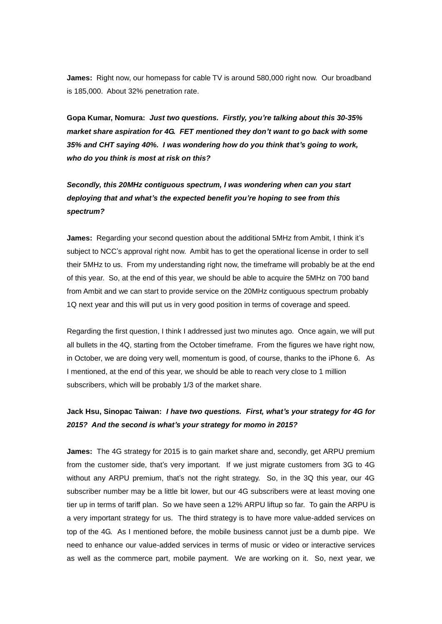**James:** Right now, our homepass for cable TV is around 580,000 right now. Our broadband is 185,000. About 32% penetration rate.

**Gopa Kumar, Nomura:** *Just two questions. Firstly, you're talking about this 30-35% market share aspiration for 4G. FET mentioned they don't want to go back with some 35% and CHT saying 40%. I was wondering how do you think that's going to work, who do you think is most at risk on this?* 

*Secondly, this 20MHz contiguous spectrum, I was wondering when can you start deploying that and what's the expected benefit you're hoping to see from this spectrum?*

**James:** Regarding your second question about the additional 5MHz from Ambit, I think it's subject to NCC's approval right now. Ambit has to get the operational license in order to sell their 5MHz to us. From my understanding right now, the timeframe will probably be at the end of this year. So, at the end of this year, we should be able to acquire the 5MHz on 700 band from Ambit and we can start to provide service on the 20MHz contiguous spectrum probably 1Q next year and this will put us in very good position in terms of coverage and speed.

Regarding the first question, I think I addressed just two minutes ago. Once again, we will put all bullets in the 4Q, starting from the October timeframe. From the figures we have right now, in October, we are doing very well, momentum is good, of course, thanks to the iPhone 6. As I mentioned, at the end of this year, we should be able to reach very close to 1 million subscribers, which will be probably 1/3 of the market share.

## **Jack Hsu, Sinopac Taiwan:** *I have two questions. First, what's your strategy for 4G for 2015? And the second is what's your strategy for momo in 2015?*

**James:** The 4G strategy for 2015 is to gain market share and, secondly, get ARPU premium from the customer side, that's very important. If we just migrate customers from 3G to 4G without any ARPU premium, that's not the right strategy. So, in the 3Q this year, our 4G subscriber number may be a little bit lower, but our 4G subscribers were at least moving one tier up in terms of tariff plan. So we have seen a 12% ARPU liftup so far. To gain the ARPU is a very important strategy for us. The third strategy is to have more value-added services on top of the 4G. As I mentioned before, the mobile business cannot just be a dumb pipe. We need to enhance our value-added services in terms of music or video or interactive services as well as the commerce part, mobile payment. We are working on it. So, next year, we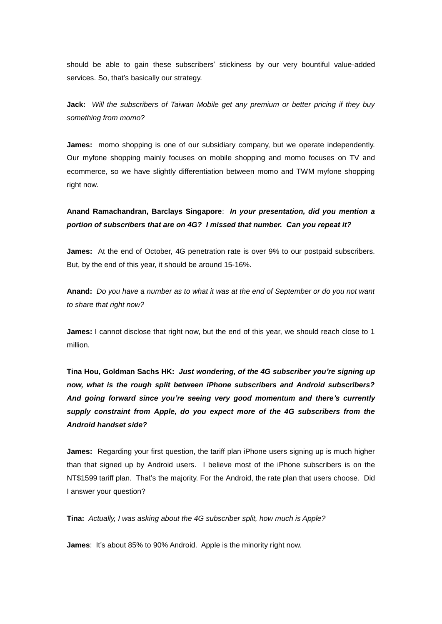should be able to gain these subscribers' stickiness by our very bountiful value-added services. So, that's basically our strategy.

**Jack:** *Will the subscribers of Taiwan Mobile get any premium or better pricing if they buy something from momo?*

**James:** momo shopping is one of our subsidiary company, but we operate independently. Our myfone shopping mainly focuses on mobile shopping and momo focuses on TV and ecommerce, so we have slightly differentiation between momo and TWM myfone shopping right now.

## **Anand Ramachandran, Barclays Singapore**: *In your presentation, did you mention a portion of subscribers that are on 4G? I missed that number. Can you repeat it?*

**James:** At the end of October, 4G penetration rate is over 9% to our postpaid subscribers. But, by the end of this year, it should be around 15-16%.

**Anand:** *Do you have a number as to what it was at the end of September or do you not want to share that right now?*

**James:** I cannot disclose that right now, but the end of this year, we should reach close to 1 million.

**Tina Hou, Goldman Sachs HK:** *Just wondering, of the 4G subscriber you're signing up now, what is the rough split between iPhone subscribers and Android subscribers? And going forward since you're seeing very good momentum and there's currently supply constraint from Apple, do you expect more of the 4G subscribers from the Android handset side?*

**James:** Regarding your first question, the tariff plan iPhone users signing up is much higher than that signed up by Android users. I believe most of the iPhone subscribers is on the NT\$1599 tariff plan. That's the majority. For the Android, the rate plan that users choose. Did I answer your question?

**Tina:** *Actually, I was asking about the 4G subscriber split, how much is Apple?*

**James**: It's about 85% to 90% Android. Apple is the minority right now.